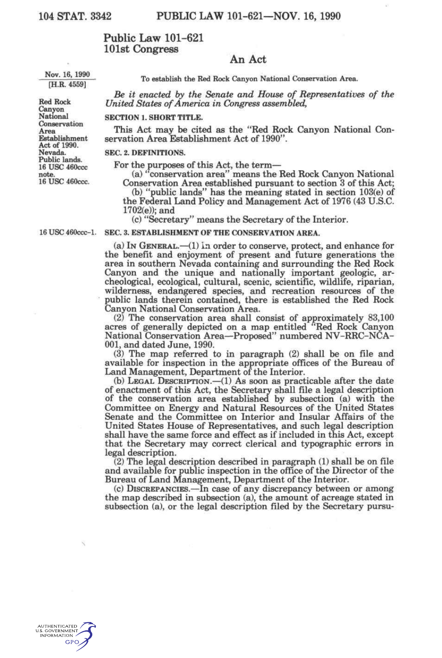# **Public Law 101-621 101st Congress**

# **An Act**

**Nov. 16, 1990 [H.R. 4559]** 

**To establish the Red Rock Canyon National Conservation Area.** 

*Be it enacted by the Senate and House of Representatives of the United States of America in Congress assembled,* 

#### **SECTION 1. SHORT TITLE.**

This Act may be cited as the "Red Rock Canyon National Conservation Area Establishment Act of 1990".

## **SEC. 2. DEFINITIONS.**

For the purposes of this Act, the term—

(a) "conservation area" means the Red Rock Canyon National Conservation Area established pursuant to section 3 of this Act; (b) "public lands" has the meaning stated in section 103(e) of

the Federal Land Policy and Management Act of 1976 (43 U.S.C. 1702(e)); and

(c) "Secretary" means the Secretary of the Interior.

**16 us e 460ccc-l. SEC. 3. ESTABLISHMENT OF THE CONSERVATION AREA.** 

(a) IN GENERAL.—(1) In order to conserve, protect, and enhance for the benefit and enjoyment of present and future generations the area in southern Nevada containing and surrounding the Red Rock Canyon and the unique and nationally important geologic, archeological, ecological, cultural, scenic, scientific, wildlife, riparian, wilderness, endangered species, and recreation resources of the public lands therein contained, there is established the Red Rock Canyon National Conservation Area.

(2) The conservation area shall consist of approximately 83,100 acres of generally depicted on a map entitled "Red Rock Canyon National Conservation Area—Proposed" numbered NV-RRC-NCA-001, and dated June, 1990.

(3) The map referred to in paragraph (2) shall be on file and available for inspection in the appropriate offices of the Bureau of Land Management, Department of the Interior.

(b) LEGAL DESCRIPTION.—(1) As soon as practicable after the date of enactment of this Act, the Secretary shall file a legal description of the conservation area established by subsection (a) with the Committee on Energy and Natural Resources of the United States Senate and the Committee on Interior and Insular Affairs of the United States House of Representatives, and such legal description shall have the same force and effect as if included in this Act, except that the Secretary may correct clerical and typographic errors in legal description.

(2) The legal description described in paragraph (1) shall be on file and available for public inspection in the office of the Director of the Bureau of Land Management, Department of the Interior.

(c) DISCREPANCIES.—In case of any discrepancy between or among the map described in subsection (a), the amount of acreage stated in subsection (a), or the legal description filed by the Secretary pursu-



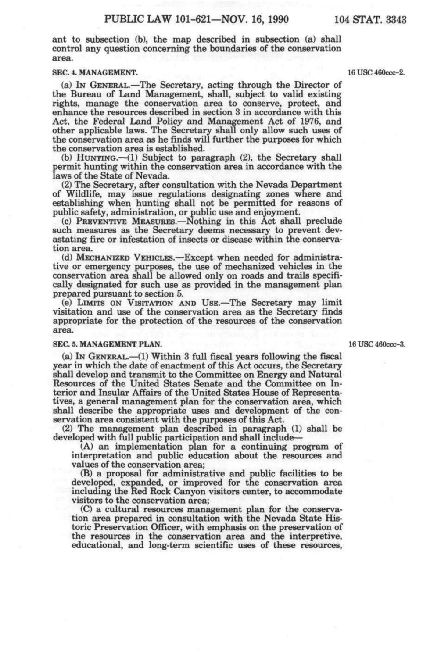ant to subsection (b), the map described in subsection (a) shall control any question concerning the boundaries of the conservation area.

### **SEC. 4. MANAGEMENT. 16 USC 460ccc-2.**

(a) IN GENERAL.—The Secretary, acting through the Director of the Bureau of Land Management, shall, subject to valid existing rights, manage the conservation area to conserve, protect, and enhance the resources described in section 3 in accordance with this Act, the Federal Land Policy and Management Act of 1976, and other applicable laws. The Secretary shall only allow such uses of the conservation area as he finds will further the purposes for which the conservation area is established.

(b) HUNTING.—(1) Subject to paragraph (2), the Secretary shall permit hunting within the conservation area in accordance with the laws of the State of Nevada.

(2) The Secretary, after consultation with the Nevada Department of Wildlife, may issue regulations designating zones where and establishing when hunting shall not be permitted for reasons of public safety, administration, or public use and enjoyment.

(c) PREVENTIVE MEASURES.—Nothing in this Act shall preclude such measures as the Secretary deems necessary to prevent devastating fire or infestation of insects or disease within the conservation area.

(d) MECHANIZED VEHICLES.—Except when needed for administrative or emergency purposes, the use of mechanized vehicles in the conservation area shall be allowed only on roads and trails specifically designated for such use as provided in the management plan prepared pursuant to section 5.

(e) LIMITS ON VISITATION AND USE.—The Secretary may limit visitation and use of the conservation area as the Secretary finds appropriate for the protection of the resources of the conservation area.

#### **SEC. 5. MANAGEMENT PLAN.** 16 USC 460ccc-3.

(a) IN GENERAL.—(1) Within 3 full fiscal years following the fiscal year in which the date of enactment of this Act occurs, the Secretary shall develop and transmit to the Committee on Energy and Natural Resources of the United States Senate and the Committee on Interior and Insular Affairs of the United States House of Representatives, a general management plan for the conservation area, which shall describe the appropriate uses and development of the conservation area consistent with the purposes of this Act.

(2) The management plan described in paragraph (1) shall be developed with full public participation and shall include—

(A) an implementation plan for a continuing program of interpretation and public education about the resources and values of the conservation area;

(B) a proposal for administrative and public facilities to be developed, expanded, or improved for the conservation area including the Red Rock Canyon visitors center, to accommodate visitors to the conservation area;

(C) a cultural resources management plan for the conservation area prepared in consultation with the Nevada State Historic Preservation Officer, with emphasis on the preservation of the resources in the conservation area and the interpretive, educational, and long-term scientific uses of these resources,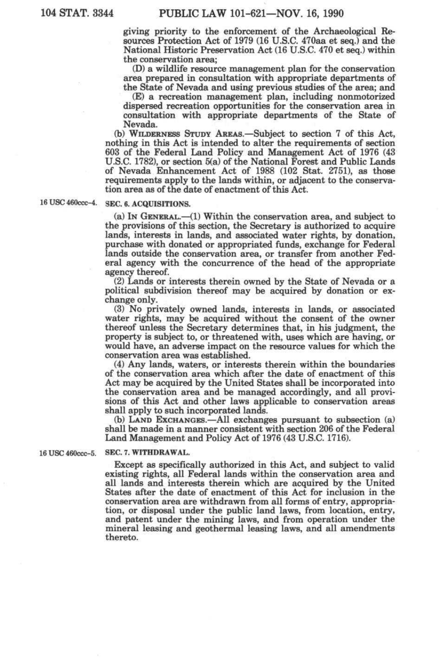giving priority to the enforcement of the Archaeological Resources Protection Act of 1979 (16 U.S.C. 470aa et seq.) and the National Historic Preservation Act (16 U.S.C. 470 et seq.) within the conservation area;

(D) a wildlife resource management plan for the conservation area prepared in consultation with appropriate departments of the State of Nevada and using previous studies of the area; and

(E) a recreation management plan, including nonmotorized dispersed recreation opportunities for the conservation area in consultation with appropriate departments of the State of Nevada.

(b) WILDERNESS STUDY AREAS.—Subject to section 7 of this Act, nothing in this Act is intended to alter the requirements of section 603 of the Federal Land Policy and Management Act of 1976 (43 U.S.C. 1782), or section 5(a) of the National Forest and Public Lands of Nevada Enhancement Act of 1988 (102 Stat. 2751), as those requirements apply to the lands within, or adjacent to the conservation area as of the date of enactment of this Act.

# **16 us e 460CCC-4. SEC. 6. ACQUISITIONS.**

(a) IN GENERAL.—(1) Within the conservation area, and subject to the provisions of this section, the Secretary is authorized to acquire lands, interests in lands, and associated water rights, by donation, purchase with donated or appropriated funds, exchange for Federal lands outside the conservation area, or transfer from another Federal agency with the concurrence of the head of the appropriate agency thereof.

(2) Lands or interests therein owned by the State of Nevada or a political subdivision thereof may be acquired by donation or exchange only.

(3) No privately owned lands, interests in lands, or associated water rights, may be acquired without the consent of the owner thereof unless the Secretary determines that, in his judgment, the property is subject to, or threatened with, uses which are having, or would have, an adverse impact on the resource values for which the conservation area was established.

(4) Any lands, waters, or interests therein within the boundaries of the conservation area which after the date of enactment of this Act may be acquired by the United States shall be incorporated into the conservation area and be managed accordingly, and all provisions of this Act and other laws applicable to conservation areas shall apply to such incorporated lands.

(b) LAND EXCHANGES.—All exchanges pursuant to subsection (a) shall be made in a manner consistent with section 206 of the Federal Land Management and Policy Act of 1976 (43 U.S.C. 1716).

16 USC 460ccc-5. SEC. 7. WITHDRAWAL.

Except as specifically authorized in this Act, and subject to valid existing rights, all Federal lands within the conservation area and all lands and interests therein which are acquired by the United States after the date of enactment of this Act for inclusion in the conservation area are withdrawn from all forms of entry, appropriation, or disposal under the public land laws, from location, entry, and patent under the mining laws, and from operation under the mineral leasing and geothermal leasing laws, and all amendments thereto.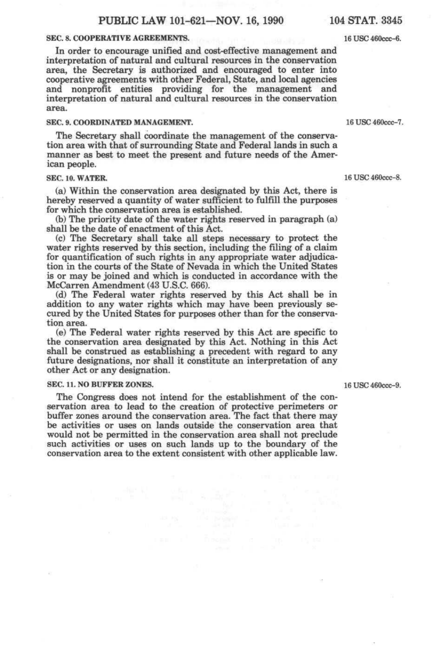### **SEC. 8. COOPERATIVE AGREEMENTS.** 16 USC 460ccc-6.

In order to encourage unified and cost-effective management and interpretation of natural and cultural resources in the conservation area, the Secretary is authorized and encouraged to enter into cooperative agreements with other Federal, State, and local agencies and nonprofit entities providing for the management and interpretation of natural and cultural resources in the conservation area.

## **SEC. 9. COORDINATED MANAGEMENT.** 16 USC 460ccc-7.

The Secretary shall coordinate the management of the conservation area with that of surrounding State and Federal lands in such a manner as best to meet the present and future needs of the American people.

## **SEC. 10. WATER.** 16 USC 460ccc-8.

(a) Within the conservation area designated by this Act, there is hereby reserved a quantity of water sufficient to fulfill the purposes for which the conservation area is established.

 $(b)$  The priority date of the water rights reserved in paragraph  $(a)$ shall be the date of enactment of this Act.

(c) The Secretary shall take all steps necessary to protect the water rights reserved by this section, including the filing of a claim for quantification of such rights in any appropriate water adjudication in the courts of the State of Nevada in which the United States is or may be joined and which is conducted in accordance with the McCarren Amendment (48 U.S.C. 666).

(d) The Federal water rights reserved by this Act shall be in addition to any water rights which may have been previously secured by the United States for purposes other than for the conservation area.

(e) The Federal water rights reserved by this Act are specific to the conservation area designated by this Act. Nothing in this Act shall be construed as establishing a precedent with regard to any future designations, nor shall it constitute an interpretation of any other Act or any designation.

## **SEC. 11. NO BUFFER ZONES.** 16 USC 460ccc-9.

The Congress does not intend for the establishment of the conservation area to lead to the creation of protective perimeters or buffer zones around the conservation area. The fact that there may be activities or uses on lands outside the conservation area that would not be permitted in the conservation area shall not preclude such activities or uses on such lands up to the boundary of the conservation area to the extent consistent with other applicable law.